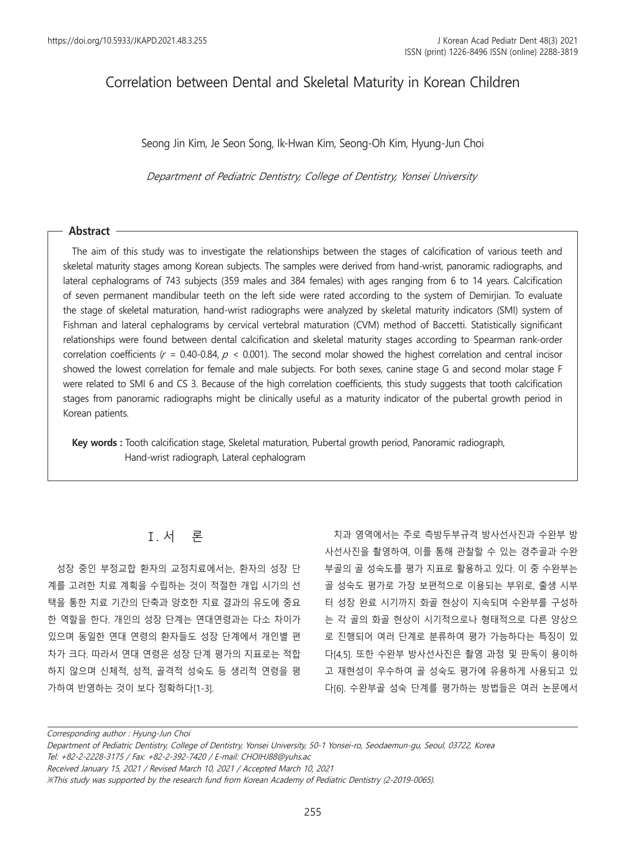# Correlation between Dental and Skeletal Maturity in Korean Children

Seong Jin Kim, Je Seon Song, Ik-Hwan Kim, Seong-Oh Kim, Hyung-Jun Choi

Department of Pediatric Dentistry, College of Dentistry, Yonsei University

### **Abstract**

The aim of this study was to investigate the relationships between the stages of calcification of various teeth and skeletal maturity stages among Korean subjects. The samples were derived from hand-wrist, panoramic radiographs, and lateral cephalograms of 743 subjects (359 males and 384 females) with ages ranging from 6 to 14 years. Calcification of seven permanent mandibular teeth on the left side were rated according to the system of Demirjian. To evaluate the stage of skeletal maturation, hand-wrist radiographs were analyzed by skeletal maturity indicators (SMI) system of Fishman and lateral cephalograms by cervical vertebral maturation (CVM) method of Baccetti. Statistically significant relationships were found between dental calcification and skeletal maturity stages according to Spearman rank-order correlation coefficients ( $r = 0.40$ -0.84,  $p < 0.001$ ). The second molar showed the highest correlation and central incisor showed the lowest correlation for female and male subjects. For both sexes, canine stage G and second molar stage F were related to SMI 6 and CS 3. Because of the high correlation coefficients, this study suggests that tooth calcification stages from panoramic radiographs might be clinically useful as a maturity indicator of the pubertal growth period in Korean patients.

**Key words :** Tooth calcification stage, Skeletal maturation, Pubertal growth period, Panoramic radiograph, Hand-wrist radiograph, Lateral cephalogram

# Ⅰ. 서 론

성장 중인 부정교합 환자의 교정치료에서는, 환자의 성장 단 계를 고려한 치료 계획을 수립하는 것이 적절한 개입 시기의 선 택을 통한 치료 기간의 단축과 양호한 치료 결과의 유도에 중요 한 역할을 한다. 개인의 성장 단계는 연대연령과는 다소 차이가 있으며 동일한 연대 연령의 환자들도 성장 단계에서 개인별 편 차가 크다. 따라서 연대 연령은 성장 단계 평가의 지표로는 적합 하지 않으며 신체적, 성적, 골격적 성숙도 등 생리적 연령을 평 가하여 반영하는 것이 보다 정확하다[1-3].

치과 영역에서는 주로 측방두부규격 방사선사진과 수완부 방 사선사진을 촬영하여, 이를 통해 관찰할 수 있는 경추골과 수완 부골의 골 성숙도를 평가 지표로 활용하고 있다. 이 중 수완부는 골 성숙도 평가로 가장 보편적으로 이용되는 부위로, 출생 시부 터 성장 완료 시기까지 화골 현상이 지속되며 수완부를 구성하 는 각 골의 화골 현상이 시기적으로나 형태적으로 다른 양상으 로 진행되어 여러 단계로 분류하여 평가 가능하다는 특징이 있 다[4,5]. 또한 수완부 방사선사진은 촬영 과정 및 판독이 용이하 고 재현성이 우수하여 골 성숙도 평가에 유용하게 사용되고 있 다[6]. 수완부골 성숙 단계를 평가하는 방법들은 여러 논문에서

Corresponding author : Hyung-Jun Choi

Department of Pediatric Dentistry, College of Dentistry, Yonsei University, 50-1 Yonsei-ro, Seodaemun-gu, Seoul, 03722, Korea Tel: +82-2-2228-3175 / Fax: +82-2-392-7420 / E-mail: CHOIHJ88@yuhs.ac

Received January 15, 2021 / Revised March 10, 2021 / Accepted March 10, 2021

※This study was supported by the research fund from Korean Academy of Pediatric Dentistry (2-2019-0065).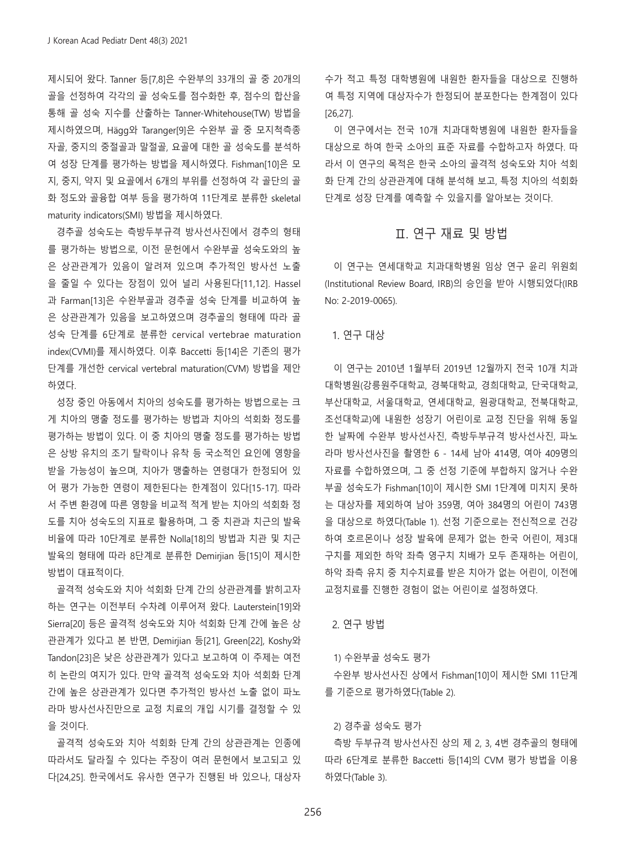제시되어 왔다. Tanner 등[7,8]은 수완부의 33개의 골 중 20개의 골을 선정하여 각각의 골 성숙도를 점수화한 후, 점수의 합산을 통해 골 성숙 지수를 산출하는 Tanner-Whitehouse(TW) 방법을 제시하였으며, Hägg와 Taranger[9]은 수완부 골 중 모지척측종 자골, 중지의 중절골과 말절골, 요골에 대한 골 성숙도를 분석하 여 성장 단계를 평가하는 방법을 제시하였다. Fishman[10]은 모 지, 중지, 약지 및 요골에서 6개의 부위를 선정하여 각 골단의 골 화 정도와 골융합 여부 등을 평가하여 11단계로 분류한 skeletal maturity indicators(SMI) 방법을 제시하였다.

경추골 성숙도는 측방두부규격 방사선사진에서 경추의 형태 를 평가하는 방법으로, 이전 문헌에서 수완부골 성숙도와의 높 은 상관관계가 있음이 알려져 있으며 추가적인 방사선 노출 을 줄일 수 있다는 장점이 있어 널리 사용된다[11,12]. Hassel 과 Farman[13]은 수완부골과 경추골 성숙 단계를 비교하여 높 은 상관관계가 있음을 보고하였으며 경추골의 형태에 따라 골 성숙 단계를 6단계로 분류한 cervical vertebrae maturation index(CVMI)를 제시하였다. 이후 Baccetti 등[14]은 기존의 평가 단계를 개선한 cervical vertebral maturation(CVM) 방법을 제안 하였다.

성장 중인 아동에서 치아의 성숙도를 평가하는 방법으로는 크 게 치아의 맹출 정도를 평가하는 방법과 치아의 석회화 정도를 평가하는 방법이 있다. 이 중 치아의 맹출 정도를 평가하는 방법 은 상방 유치의 조기 탈락이나 유착 등 국소적인 요인에 영향을 받을 가능성이 높으며, 치아가 맹출하는 연령대가 한정되어 있 어 평가 가능한 연령이 제한된다는 한계점이 있다[15-17]. 따라 서 주변 환경에 따른 영향을 비교적 적게 받는 치아의 석회화 정 도를 치아 성숙도의 지표로 활용하며, 그 중 치관과 치근의 발육 비율에 따라 10단계로 분류한 Nolla[18]의 방법과 치관 및 치근 발육의 형태에 따라 8단계로 분류한 Demirjian 등[15]이 제시한 방법이 대표적이다.

골격적 성숙도와 치아 석회화 단계 간의 상관관계를 밝히고자 하는 연구는 이전부터 수차례 이루어져 왔다. Lauterstein[19]와 Sierra[20] 등은 골격적 성숙도와 치아 석회화 단계 간에 높은 상 관관계가 있다고 본 반면, Demirjian 등[21], Green[22], Koshy와 Tandon[23]은 낮은 상관관계가 있다고 보고하여 이 주제는 여전 히 논란의 여지가 있다. 만약 골격적 성숙도와 치아 석회화 단계 간에 높은 상관관계가 있다면 추가적인 방사선 노출 없이 파노 라마 방사선사진만으로 교정 치료의 개입 시기를 결정할 수 있 을 것이다.

골격적 성숙도와 치아 석회화 단계 간의 상관관계는 인종에 따라서도 달라질 수 있다는 주장이 여러 문헌에서 보고되고 있 다[24,25]. 한국에서도 유사한 연구가 진행된 바 있으나, 대상자 수가 적고 특정 대학병원에 내원한 환자들을 대상으로 진행하 여 특정 지역에 대상자수가 한정되어 분포한다는 한계점이 있다 [26,27].

이 연구에서는 전국 10개 치과대학병원에 내원한 환자들을 대상으로 하여 한국 소아의 표준 자료를 수합하고자 하였다. 따 라서 이 연구의 목적은 한국 소아의 골격적 성숙도와 치아 석회 화 단계 간의 상관관계에 대해 분석해 보고, 특정 치아의 석회화 단계로 성장 단계를 예측할 수 있을지를 알아보는 것이다.

## Ⅱ. 연구 재료 및 방법

이 연구는 연세대학교 치과대학병원 임상 연구 윤리 위원회 (Institutional Review Board, IRB)의 승인을 받아 시행되었다(IRB No: 2-2019-0065).

### 1. 연구 대상

이 연구는 2010년 1월부터 2019년 12월까지 전국 10개 치과 대학병원(강릉원주대학교, 경북대학교, 경희대학교, 단국대학교, 부산대학교, 서울대학교, 연세대학교, 원광대학교, 전북대학교, 조선대학교)에 내원한 성장기 어린이로 교정 진단을 위해 동일 한 날짜에 수완부 방사선사진, 측방두부규격 방사선사진, 파노 라마 방사선사진을 촬영한 6 - 14세 남아 414명, 여아 409명의 자료를 수합하였으며, 그 중 선정 기준에 부합하지 않거나 수완 부골 성숙도가 Fishman[10]이 제시한 SMI 1단계에 미치지 못하 는 대상자를 제외하여 남아 359명, 여아 384명의 어린이 743명 을 대상으로 하였다(Table 1). 선정 기준으로는 전신적으로 건강 하여 호르몬이나 성장 발육에 문제가 없는 한국 어린이, 제3대 구치를 제외한 하악 좌측 영구치 치배가 모두 존재하는 어린이, 하악 좌측 유치 중 치수치료를 받은 치아가 없는 어린이, 이전에 교정치료를 진행한 경험이 없는 어린이로 설정하였다.

#### 2. 연구 방법

#### 1) 수완부골 성숙도 평가

수완부 방사선사진 상에서 Fishman[10]이 제시한 SMI 11단계 를 기준으로 평가하였다(Table 2).

#### 2) 경추골 성숙도 평가

측방 두부규격 방사선사진 상의 제 2, 3, 4번 경추골의 형태에 따라 6단계로 분류한 Baccetti 등[14]의 CVM 평가 방법을 이용 하였다(Table 3).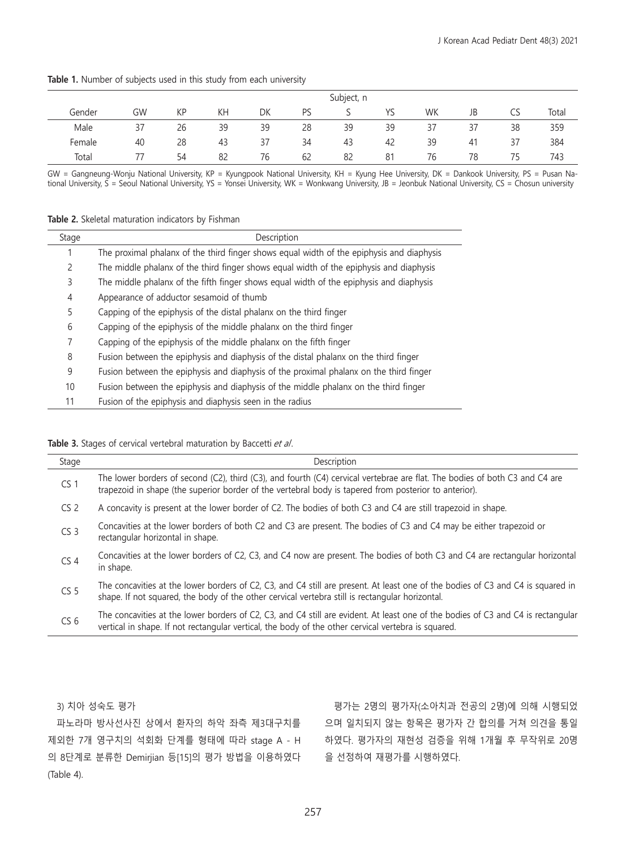Table 1. Number of subjects used in this study from each university

|        |    |    |    |    |    | Subject, n |    |    |    |    |       |
|--------|----|----|----|----|----|------------|----|----|----|----|-------|
| Gender | GW | KP | KΗ | DK | PS |            | ΥS | WK | JB | CS | Total |
| Male   | 37 | 26 | 39 | 39 | 28 | 39         | 39 | 37 | 37 | 38 | 359   |
| Female | 40 | 28 | 43 | 37 | 34 | 43         | 42 | 39 | 41 | 37 | 384   |
| Total  |    | 54 | 82 | 76 | 62 | 82         | 81 | 76 | 78 | 75 | 743   |

GW = Gangneung-Wonju National University, KP = Kyungpook National University, KH = Kyung Hee University, DK = Dankook University, PS = Pusan National University, S = Seoul National University, YS = Yonsei University, WK = Wonkwang University, JB = Jeonbuk National University, CS = Chosun university

#### **Table 2.** Skeletal maturation indicators by Fishman

| Stage | Description                                                                               |
|-------|-------------------------------------------------------------------------------------------|
|       | The proximal phalanx of the third finger shows equal width of the epiphysis and diaphysis |
| 2     | The middle phalanx of the third finger shows equal width of the epiphysis and diaphysis   |
| 3     | The middle phalanx of the fifth finger shows equal width of the epiphysis and diaphysis   |
| 4     | Appearance of adductor sesamoid of thumb                                                  |
| 5     | Capping of the epiphysis of the distal phalanx on the third finger                        |
| 6     | Capping of the epiphysis of the middle phalanx on the third finger                        |
| 7     | Capping of the epiphysis of the middle phalanx on the fifth finger                        |
| 8     | Fusion between the epiphysis and diaphysis of the distal phalanx on the third finger      |
| 9     | Fusion between the epiphysis and diaphysis of the proximal phalanx on the third finger    |
| 10    | Fusion between the epiphysis and diaphysis of the middle phalanx on the third finger      |
| 11    | Fusion of the epiphysis and diaphysis seen in the radius                                  |

#### Table 3. Stages of cervical vertebral maturation by Baccetti et al.

| Stage           | Description                                                                                                                                                                                                                             |
|-----------------|-----------------------------------------------------------------------------------------------------------------------------------------------------------------------------------------------------------------------------------------|
| CS <sub>1</sub> | The lower borders of second (C2), third (C3), and fourth (C4) cervical vertebrae are flat. The bodies of both C3 and C4 are<br>trapezoid in shape (the superior border of the vertebral body is tapered from posterior to anterior).    |
| CS <sub>2</sub> | A concavity is present at the lower border of C2. The bodies of both C3 and C4 are still trapezoid in shape.                                                                                                                            |
| CS <sub>3</sub> | Concavities at the lower borders of both C2 and C3 are present. The bodies of C3 and C4 may be either trapezoid or<br>rectangular horizontal in shape.                                                                                  |
| CS <sub>4</sub> | Concavities at the lower borders of C2, C3, and C4 now are present. The bodies of both C3 and C4 are rectangular horizontal<br>in shape.                                                                                                |
| CS <sub>5</sub> | The concavities at the lower borders of C2, C3, and C4 still are present. At least one of the bodies of C3 and C4 is squared in<br>shape. If not squared, the body of the other cervical vertebra still is rectangular horizontal.      |
| CS <sub>6</sub> | The concavities at the lower borders of C2, C3, and C4 still are evident. At least one of the bodies of C3 and C4 is rectangular<br>vertical in shape. If not rectangular vertical, the body of the other cervical vertebra is squared. |

3) 치아 성숙도 평가

파노라마 방사선사진 상에서 환자의 하악 좌측 제3대구치를 제외한 7개 영구치의 석회화 단계를 형태에 따라 stage A - H 의 8단계로 분류한 Demirjian 등[15]의 평가 방법을 이용하였다 (Table 4).

평가는 2명의 평가자(소아치과 전공의 2명)에 의해 시행되었 으며 일치되지 않는 항목은 평가자 간 합의를 거쳐 의견을 통일 하였다. 평가자의 재현성 검증을 위해 1개월 후 무작위로 20명 을 선정하여 재평가를 시행하였다.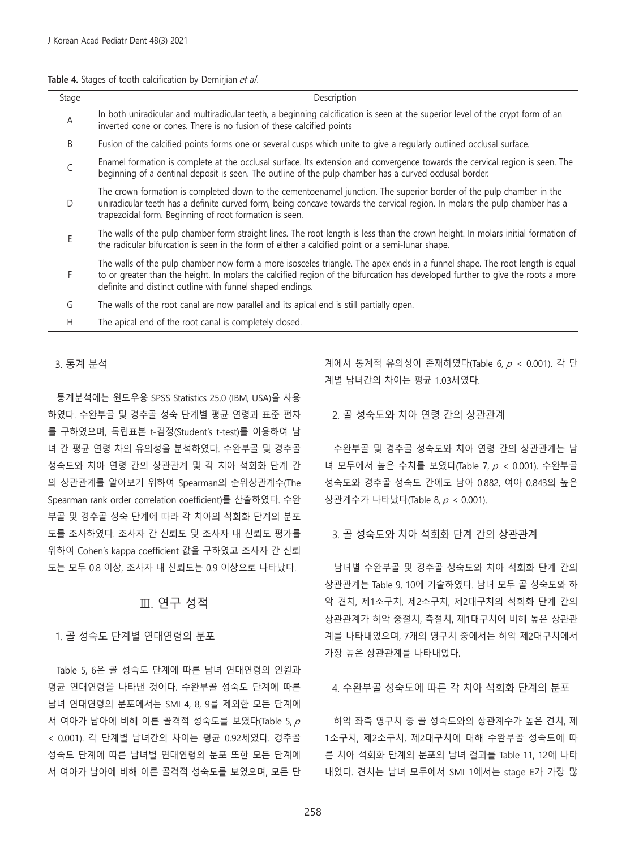**Table 4.** Stages of tooth calcification by Demirijan et al.

| Stage | Description                                                                                                                                                                                                                                                                                                                 |
|-------|-----------------------------------------------------------------------------------------------------------------------------------------------------------------------------------------------------------------------------------------------------------------------------------------------------------------------------|
| Α     | In both uniradicular and multiradicular teeth, a beginning calcification is seen at the superior level of the crypt form of an<br>inverted cone or cones. There is no fusion of these calcified points                                                                                                                      |
| B     | Fusion of the calcified points forms one or several cusps which unite to give a regularly outlined occlusal surface.                                                                                                                                                                                                        |
| C     | Enamel formation is complete at the occlusal surface. Its extension and convergence towards the cervical region is seen. The<br>beginning of a dentinal deposit is seen. The outline of the pulp chamber has a curved occlusal border.                                                                                      |
| D     | The crown formation is completed down to the cementoenamel junction. The superior border of the pulp chamber in the<br>uniradicular teeth has a definite curved form, being concave towards the cervical region. In molars the pulp chamber has a<br>trapezoidal form. Beginning of root formation is seen.                 |
| Ε     | The walls of the pulp chamber form straight lines. The root length is less than the crown height. In molars initial formation of<br>the radicular bifurcation is seen in the form of either a calcified point or a semi-lunar shape.                                                                                        |
| F     | The walls of the pulp chamber now form a more isosceles triangle. The apex ends in a funnel shape. The root length is equal<br>to or greater than the height. In molars the calcified region of the bifurcation has developed further to give the roots a more<br>definite and distinct outline with funnel shaped endings. |
| G     | The walls of the root canal are now parallel and its apical end is still partially open.                                                                                                                                                                                                                                    |
| H     | The apical end of the root canal is completely closed.                                                                                                                                                                                                                                                                      |

#### 3. 통계 분석

통계분석에는 윈도우용 SPSS Statistics 25.0 (IBM, USA)을 사용 하였다. 수완부골 및 경추골 성숙 단계별 평균 연령과 표준 편차 를 구하였으며, 독립표본 t-검정(Student's t-test)를 이용하여 남 녀 간 평균 연령 차의 유의성을 분석하였다. 수완부골 및 경추골 성숙도와 치아 연령 간의 상관관계 및 각 치아 석회화 단계 간 의 상관관계를 알아보기 위하여 Spearman의 순위상관계수(The Spearman rank order correlation coefficient)를 산출하였다. 수완 부골 및 경추골 성숙 단계에 따라 각 치아의 석회화 단계의 분포 도를 조사하였다. 조사자 간 신뢰도 및 조사자 내 신뢰도 평가를 위하여 Cohen's kappa coefficient 값을 구하였고 조사자 간 신뢰 도는 모두 0.8 이상, 조사자 내 신뢰도는 0.9 이상으로 나타났다.

## Ⅲ. 연구 성적

### 1. 골 성숙도 단계별 연대연령의 분포

Table 5, 6은 골 성숙도 단계에 따른 남녀 연대연령의 인원과 평균 연대연령을 나타낸 것이다. 수완부골 성숙도 단계에 따른 남녀 연대연령의 분포에서는 SMI 4, 8, 9를 제외한 모든 단계에 서 여아가 남아에 비해 이른 골격적 성숙도를 보였다(Table 5,  $\rho$ < 0.001). 각 단계별 남녀간의 차이는 평균 0.92세였다. 경추골 성숙도 단계에 따른 남녀별 연대연령의 분포 또한 모든 단계에 서 여아가 남아에 비해 이른 골격적 성숙도를 보였으며, 모든 단 계에서 통계적 유의성이 존재하였다(Table 6,  $p < 0.001$ ). 각 단 계별 남녀간의 차이는 평균 1.03세였다.

2. 골 성숙도와 치아 연령 간의 상관관계

수완부골 및 경추골 성숙도와 치아 연령 간의 상관관계는 남 녀 모두에서 높은 수치를 보였다(Table 7, p < 0.001). 수완부골 성숙도와 경추골 성숙도 간에도 남아 0.882, 여아 0.843의 높은 상관계수가 나타났다(Table 8, p < 0.001).

3. 골 성숙도와 치아 석회화 단계 간의 상관관계

남녀별 수완부골 및 경추골 성숙도와 치아 석회화 단계 간의 상관관계는 Table 9, 10에 기술하였다. 남녀 모두 골 성숙도와 하 악 견치, 제1소구치, 제2소구치, 제2대구치의 석회화 단계 간의 상관관계가 하악 중절치, 측절치, 제1대구치에 비해 높은 상관관 계를 나타내었으며, 7개의 영구치 중에서는 하악 제2대구치에서 가장 높은 상관관계를 나타내었다.

4. 수완부골 성숙도에 따른 각 치아 석회화 단계의 분포

하악 좌측 영구치 중 골 성숙도와의 상관계수가 높은 견치, 제 1소구치, 제2소구치, 제2대구치에 대해 수완부골 성숙도에 따 른 치아 석회화 단계의 분포의 남녀 결과를 Table 11, 12에 나타 내었다. 견치는 남녀 모두에서 SMI 1에서는 stage E가 가장 많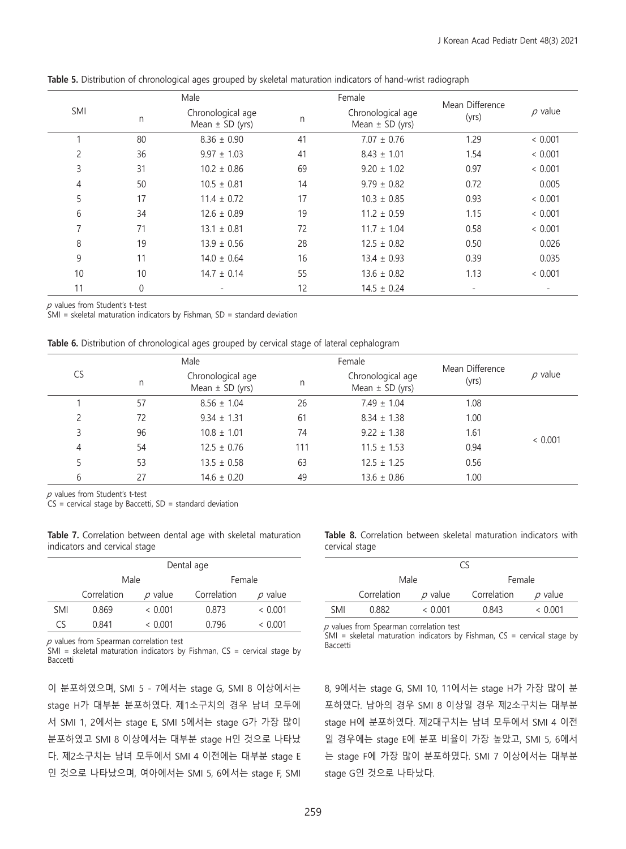|                |          | Male                                     |    | Female                                   | Mean Difference |              |
|----------------|----------|------------------------------------------|----|------------------------------------------|-----------------|--------------|
| SMI            | n.       | Chronological age<br>Mean $\pm$ SD (yrs) | n  | Chronological age<br>Mean $\pm$ SD (yrs) | (yrs)           | $\rho$ value |
|                | 80       | $8.36 \pm 0.90$                          | 41 | $7.07 \pm 0.76$                          | 1.29            | < 0.001      |
| $\overline{c}$ | 36       | $9.97 \pm 1.03$                          | 41 | $8.43 \pm 1.01$                          | 1.54            | < 0.001      |
| 3              | 31       | $10.2 \pm 0.86$                          | 69 | $9.20 \pm 1.02$                          | 0.97            | < 0.001      |
| 4              | 50       | $10.5 \pm 0.81$                          | 14 | $9.79 \pm 0.82$                          | 0.72            | 0.005        |
| 5              | 17       | $11.4 \pm 0.72$                          | 17 | $10.3 \pm 0.85$                          | 0.93            | < 0.001      |
| 6              | 34       | $12.6 \pm 0.89$                          | 19 | $11.2 \pm 0.59$                          | 1.15            | < 0.001      |
| $\overline{7}$ | 71       | $13.1 \pm 0.81$                          | 72 | $11.7 \pm 1.04$                          | 0.58            | < 0.001      |
| 8              | 19       | $13.9 \pm 0.56$                          | 28 | $12.5 \pm 0.82$                          | 0.50            | 0.026        |
| 9              | 11       | $14.0 \pm 0.64$                          | 16 | $13.4 \pm 0.93$                          | 0.39            | 0.035        |
| 10             | 10       | $14.7 \pm 0.14$                          | 55 | $13.6 \pm 0.82$                          | 1.13            | < 0.001      |
| 11             | $\theta$ |                                          | 12 | $14.5 \pm 0.24$                          |                 |              |

**Table 5.** Distribution of chronological ages grouped by skeletal maturation indicators of hand-wrist radiograph

 $p$  values from Student's t-test

 $SMI$  = skeletal maturation indicators by Fishman, SD = standard deviation

|    |    | Male                                     |     | Female                                   |                          |              |  |
|----|----|------------------------------------------|-----|------------------------------------------|--------------------------|--------------|--|
| CS | n  | Chronological age<br>Mean $\pm$ SD (yrs) | n   | Chronological age<br>Mean $\pm$ SD (yrs) | Mean Difference<br>(yrs) | $\rho$ value |  |
|    | 57 | $8.56 \pm 1.04$                          | 26  | $7.49 \pm 1.04$                          | 1.08                     |              |  |
|    | 72 | $9.34 \pm 1.31$                          | 61  | $8.34 \pm 1.38$                          | 1.00                     |              |  |
| 3  | 96 | $10.8 \pm 1.01$                          | 74  | $9.22 \pm 1.38$                          | 1.61                     |              |  |
| 4  | 54 | $12.5 \pm 0.76$                          | 111 | $11.5 \pm 1.53$                          | 0.94                     | < 0.001      |  |
|    | 53 | $13.5 \pm 0.58$                          | 63  | $12.5 \pm 1.25$                          | 0.56                     |              |  |
| 6  | 27 | $14.6 \pm 0.20$                          | 49  | $13.6 \pm 0.86$                          | 1.00                     |              |  |

 $p$  values from Student's t-test

 $CS =$  cervical stage by Baccetti,  $SD =$  standard deviation

**Table 7.** Correlation between dental age with skeletal maturation indicators and cervical stage

|            | Dental age  |              |             |              |  |  |  |  |
|------------|-------------|--------------|-------------|--------------|--|--|--|--|
|            | Male        |              |             | Female       |  |  |  |  |
|            | Correlation | $\rho$ value | Correlation | $\rho$ value |  |  |  |  |
| <b>SMI</b> | 0.869       | < 0.001      | 0.873       | < 0.001      |  |  |  |  |
| Cς         | 0.841       | ~< 0.001     | 0.796       | ~< 0.001     |  |  |  |  |

 $p$  values from Spearman correlation test

SMI = skeletal maturation indicators by Fishman,  $CS =$  cervical stage by Baccetti

이 분포하였으며, SMI 5 - 7에서는 stage G, SMI 8 이상에서는 stage H가 대부분 분포하였다. 제1소구치의 경우 남녀 모두에 서 SMI 1, 2에서는 stage E, SMI 5에서는 stage G가 가장 많이 분포하였고 SMI 8 이상에서는 대부분 stage H인 것으로 나타났 다. 제2소구치는 남녀 모두에서 SMI 4 이전에는 대부분 stage E 인 것으로 나타났으며, 여아에서는 SMI 5, 6에서는 stage F, SMI **Table 8.** Correlation between skeletal maturation indicators with cervical stage

|            |             |              | rς          |              |  |  |
|------------|-------------|--------------|-------------|--------------|--|--|
|            | Male        |              | Female      |              |  |  |
|            | Correlation | $\rho$ value | Correlation | $\rho$ value |  |  |
| <b>SMI</b> | 0.882       | ~< 0.001     | 0.843       | ~< 0.001     |  |  |

 $p$  values from Spearman correlation test

 $SMI$  = skeletal maturation indicators by Fishman,  $CS$  = cervical stage by Baccetti

8, 9에서는 stage G, SMI 10, 11에서는 stage H가 가장 많이 분 포하였다. 남아의 경우 SMI 8 이상일 경우 제2소구치는 대부분 stage H에 분포하였다. 제2대구치는 남녀 모두에서 SMI 4 이전 일 경우에는 stage E에 분포 비율이 가장 높았고, SMI 5, 6에서 는 stage F에 가장 많이 분포하였다. SMI 7 이상에서는 대부분 stage G인 것으로 나타났다.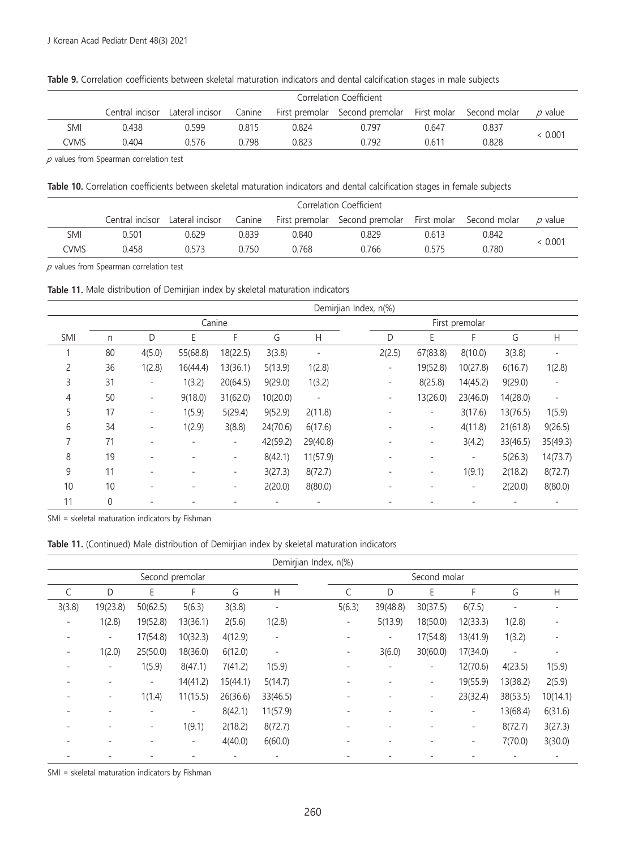|      |                 | Correlation Coefficient |        |       |                                                         |       |       |              |  |
|------|-----------------|-------------------------|--------|-------|---------------------------------------------------------|-------|-------|--------------|--|
|      | Central incisor | Lateral incisor         | Canine |       | First premolar Second premolar First molar Second molar |       |       | $\rho$ value |  |
| SMI  | 0.438           | 0.599                   | 0.815  | 0.824 | 0.797                                                   | 0.647 | 0.837 |              |  |
| CVMS | 0.404           | 0.576                   | 0.798  | 0.823 | 0.792                                                   | 0.611 | 0.828 | < 0.001      |  |

**Table 9.** Correlation coefficients between skeletal maturation indicators and dental calcification stages in male subjects

 $p$  values from Spearman correlation test

**Table 10.** Correlation coefficients between skeletal maturation indicators and dental calcification stages in female subjects

|      |       | Correlation Coefficient         |        |       |                                                         |       |       |         |
|------|-------|---------------------------------|--------|-------|---------------------------------------------------------|-------|-------|---------|
|      |       | Central incisor Lateral incisor | Canine |       | First premolar Second premolar First molar Second molar |       |       | p value |
| SMI  | 0.501 | 0.629                           | 0.839  | 0.840 | 0.829                                                   | 0.613 | 0.842 | < 0.001 |
| ^WS: | 0.458 | 0.573                           | 0.750  | 0.768 | 0.766                                                   | በ 575 | 0.780 |         |

 $p$  values from Spearman correlation test

**Table 11.** Male distribution of Demirjian index by skeletal maturation indicators

|            |    |                          |          |                          |          |                          | Demirjian Index, n(%)                                                 |
|------------|----|--------------------------|----------|--------------------------|----------|--------------------------|-----------------------------------------------------------------------|
|            |    |                          |          | Canine                   |          |                          | First premolar                                                        |
| <b>SMI</b> | n  | D                        | E        | F                        | G        | H                        | G<br>D<br>Ε<br>F<br>Н                                                 |
|            | 80 | 4(5.0)                   | 55(68.8) | 18(22.5)                 | 3(3.8)   |                          | 2(2.5)<br>67(83.8)<br>8(10.0)<br>3(3.8)<br>$\overline{\phantom{m}}$   |
| 2          | 36 | 1(2.8)                   | 16(44.4) | 13(36.1)                 | 5(13.9)  | 1(2.8)                   | 19(52.8)<br>10(27.8)<br>6(16.7)<br>1(2.8)<br>$\overline{\phantom{a}}$ |
| 3          | 31 | $\overline{\phantom{a}}$ | 1(3.2)   | 20(64.5)                 | 9(29.0)  | 1(3.2)                   | 8(25.8)<br>14(45.2)<br>9(29.0)<br>$\overline{\phantom{a}}$            |
| 4          | 50 | ۰.                       | 9(18.0)  | 31(62.0)                 | 10(20.0) | $\overline{\phantom{a}}$ | 13(26.0)<br>14(28.0)<br>23(46.0)<br>-<br>$\qquad \qquad -$            |
| 5          | 17 | $\qquad \qquad -$        | 1(5.9)   | 5(29.4)                  | 9(52.9)  | 2(11.8)                  | 3(17.6)<br>13(76.5)<br>1(5.9)<br>$\qquad \qquad -$                    |
| 6          | 34 |                          | 1(2.9)   | 3(8.8)                   | 24(70.6) | 6(17.6)                  | 4(11.8)<br>21(61.8)<br>9(26.5)<br>$\overline{\phantom{a}}$            |
|            | 71 | ۰                        |          | $\overline{\phantom{a}}$ | 42(59.2) | 29(40.8)                 | 3(4.2)<br>33(46.5)<br>35(49.3)<br>۰                                   |
| 8          | 19 |                          |          | $\overline{\phantom{m}}$ | 8(42.1)  | 11(57.9)                 | 5(26.3)<br>14(73.7)<br>$\overline{\phantom{a}}$                       |
| 9          | 11 |                          |          | $\overline{\phantom{a}}$ | 3(27.3)  | 8(72.7)                  | 1(9.1)<br>2(18.2)<br>8(72.7)<br>$\qquad \qquad \blacksquare$          |
| 10         | 10 | ۰                        |          | $\overline{\phantom{a}}$ | 2(20.0)  | 8(80.0)                  | 2(20.0)<br>8(80.0)<br>۰.                                              |
| 11         | 0  |                          |          |                          |          |                          |                                                                       |

SMI = skeletal maturation indicators by Fishman

**Table 11.** (Continued) Male distribution of Demirjian index by skeletal maturation indicators

|        | Demirjian Index, n(%)    |                          |                          |          |                          |  |                          |                          |                          |                          |                          |                          |  |  |  |
|--------|--------------------------|--------------------------|--------------------------|----------|--------------------------|--|--------------------------|--------------------------|--------------------------|--------------------------|--------------------------|--------------------------|--|--|--|
|        |                          |                          | Second premolar          |          |                          |  | Second molar             |                          |                          |                          |                          |                          |  |  |  |
|        | D                        | E                        | F                        | G        | H                        |  | C                        | D                        | Ε                        | F                        | G                        | H                        |  |  |  |
| 3(3.8) | 19(23.8)                 | 50(62.5)                 | 5(6.3)                   | 3(3.8)   | $\overline{\phantom{a}}$ |  | 5(6.3)                   | 39(48.8)                 | 30(37.5)                 | 6(7.5)                   |                          |                          |  |  |  |
|        | 1(2.8)                   | 19(52.8)                 | 13(36.1)                 | 2(5.6)   | 1(2.8)                   |  | -                        | 5(13.9)                  | 18(50.0)                 | 12(33.3)                 | 1(2.8)                   |                          |  |  |  |
|        | $\sim$                   | 17(54.8)                 | 10(32.3)                 | 4(12.9)  | $\overline{\phantom{a}}$ |  | -                        | $\overline{\phantom{a}}$ | 17(54.8)                 | 13(41.9)                 | 1(3.2)                   |                          |  |  |  |
|        | 1(2.0)                   | 25(50.0)                 | 18(36.0)                 | 6(12.0)  | $\overline{\phantom{a}}$ |  | -                        | 3(6.0)                   | 30(60.0)                 | 17(34.0)                 | $\overline{\phantom{a}}$ |                          |  |  |  |
|        |                          | 1(5.9)                   | 8(47.1)                  | 7(41.2)  | 1(5.9)                   |  |                          | -                        | -                        | 12(70.6)                 | 4(23.5)                  | 1(5.9)                   |  |  |  |
|        | $\overline{\phantom{a}}$ | $\overline{\phantom{a}}$ | 14(41.2)                 | 15(44.1) | 5(14.7)                  |  |                          | $\overline{\phantom{0}}$ | $\overline{\phantom{a}}$ | 19(55.9)                 | 13(38.2)                 | 2(5.9)                   |  |  |  |
|        | ۰.                       | 1(1.4)                   | 11(15.5)                 | 26(36.6) | 33(46.5)                 |  |                          |                          | $\qquad \qquad -$        | 23(32.4)                 | 38(53.5)                 | 10(14.1)                 |  |  |  |
|        |                          |                          | $\overline{\phantom{a}}$ | 8(42.1)  | 11(57.9)                 |  |                          |                          |                          | $\overline{\phantom{a}}$ | 13(68.4)                 | 6(31.6)                  |  |  |  |
|        |                          |                          | 1(9.1)                   | 2(18.2)  | 8(72.7)                  |  |                          |                          |                          | $\qquad \qquad -$        | 8(72.7)                  | 3(27.3)                  |  |  |  |
|        |                          |                          | $\overline{\phantom{a}}$ | 4(40.0)  | 6(60.0)                  |  | $\overline{\phantom{a}}$ | ٠                        | ٠                        | $\qquad \qquad -$        | 7(70.0)                  | 3(30.0)                  |  |  |  |
|        |                          |                          |                          |          | ٠                        |  |                          |                          |                          |                          | $\qquad \qquad -$        | $\overline{\phantom{a}}$ |  |  |  |

SMI = skeletal maturation indicators by Fishman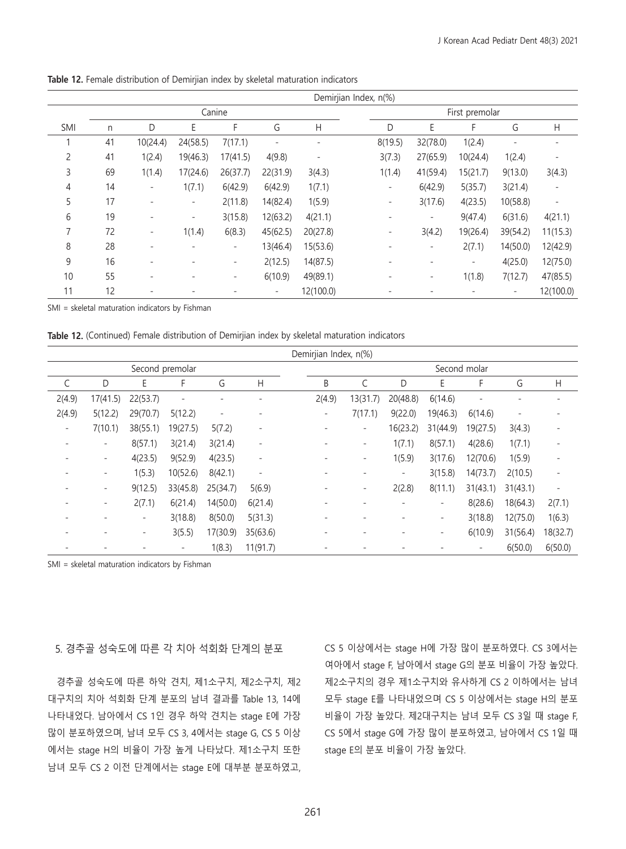|     | Demirjian Index, n(%) |                          |                          |                          |          |                |  |                          |                          |                          |          |                          |  |  |  |
|-----|-----------------------|--------------------------|--------------------------|--------------------------|----------|----------------|--|--------------------------|--------------------------|--------------------------|----------|--------------------------|--|--|--|
|     |                       |                          |                          | Canine                   |          |                |  | First premolar           |                          |                          |          |                          |  |  |  |
| SMI | n                     | D                        | E                        | F                        | G        | Н              |  | D                        | E                        |                          | G        | H                        |  |  |  |
|     | 41                    | 10(24.4)                 | 24(58.5)                 | 7(17.1)                  |          |                |  | 8(19.5)                  | 32(78.0)                 | 1(2.4)                   |          |                          |  |  |  |
| 2   | 41                    | 1(2.4)                   | 19(46.3)                 | 17(41.5)                 | 4(9.8)   | $\overline{a}$ |  | 3(7.3)                   | 27(65.9)                 | 10(24.4)                 | 1(2.4)   |                          |  |  |  |
| 3   | 69                    | 1(1.4)                   | 17(24.6)                 | 26(37.7)                 | 22(31.9) | 3(4.3)         |  | 1(1.4)                   | 41(59.4)                 | 15(21.7)                 | 9(13.0)  | 3(4.3)                   |  |  |  |
| 4   | 14                    | $\overline{\phantom{a}}$ | 1(7.1)                   | 6(42.9)                  | 6(42.9)  | 1(7.1)         |  | $\overline{\phantom{a}}$ | 6(42.9)                  | 5(35.7)                  | 3(21.4)  |                          |  |  |  |
| 5   | 17                    | ٠                        | $\overline{\phantom{a}}$ | 2(11.8)                  | 14(82.4) | 1(5.9)         |  | ۰                        | 3(17.6)                  | 4(23.5)                  | 10(58.8) | $\overline{\phantom{a}}$ |  |  |  |
| 6   | 19                    |                          | $\overline{\phantom{a}}$ | 3(15.8)                  | 12(63.2) | 4(21.1)        |  |                          | ۰                        | 9(47.4)                  | 6(31.6)  | 4(21.1)                  |  |  |  |
|     | 72                    | $\overline{\phantom{a}}$ | 1(1.4)                   | 6(8.3)                   | 45(62.5) | 20(27.8)       |  | $\overline{\phantom{a}}$ | 3(4.2)                   | 19(26.4)                 | 39(54.2) | 11(15.3)                 |  |  |  |
| 8   | 28                    | $\qquad \qquad -$        |                          | $\overline{\phantom{a}}$ | 13(46.4) | 15(53.6)       |  |                          | $\qquad \qquad -$        | 2(7.1)                   | 14(50.0) | 12(42.9)                 |  |  |  |
| 9   | 16                    |                          |                          | $\overline{\phantom{a}}$ | 2(12.5)  | 14(87.5)       |  |                          |                          | $\overline{\phantom{a}}$ | 4(25.0)  | 12(75.0)                 |  |  |  |
| 10  | 55                    | ٠                        |                          | $\overline{a}$           | 6(10.9)  | 49(89.1)       |  |                          | $\overline{\phantom{a}}$ | 1(1.8)                   | 7(12.7)  | 47(85.5)                 |  |  |  |
| 11  | 12                    |                          |                          |                          |          | 12(100.0)      |  |                          |                          |                          |          | 12(100.0)                |  |  |  |

**Table 12.** Female distribution of Demirjian index by skeletal maturation indicators

SMI = skeletal maturation indicators by Fishman

**Table 12.** (Continued) Female distribution of Demirjian index by skeletal maturation indicators

|                          | Demirjian Index, n(%) |                          |                 |          |                          |  |              |                          |                          |                              |          |                          |                          |  |  |
|--------------------------|-----------------------|--------------------------|-----------------|----------|--------------------------|--|--------------|--------------------------|--------------------------|------------------------------|----------|--------------------------|--------------------------|--|--|
|                          |                       |                          | Second premolar |          |                          |  | Second molar |                          |                          |                              |          |                          |                          |  |  |
|                          | D                     | E                        | F               | G        | Н                        |  | B            |                          | D                        | E                            | F        | G                        | Н                        |  |  |
| 2(4.9)                   | 17(41.5)              | 22(53.7)                 | ۰               |          |                          |  | 2(4.9)       | 13(31.7)                 | 20(48.8)                 | 6(14.6)                      |          |                          |                          |  |  |
| 2(4.9)                   | 5(12.2)               | 29(70.7)                 | 5(12.2)         | ÷        |                          |  | ۰.           | 7(17.1)                  | 9(22.0)                  | 19(46.3)                     | 6(14.6)  | $\overline{\phantom{a}}$ |                          |  |  |
| $\overline{\phantom{a}}$ | 7(10.1)               | 38(55.1)                 | 19(27.5)        | 5(7.2)   | $\overline{\phantom{a}}$ |  | ٠            | $\overline{\phantom{a}}$ | 16(23.2)                 | 31(44.9)                     | 19(27.5) | 3(4.3)                   |                          |  |  |
|                          | ۰                     | 8(57.1)                  | 3(21.4)         | 3(21.4)  | $\overline{\phantom{0}}$ |  |              | $\overline{\phantom{a}}$ | 1(7.1)                   | 8(57.1)                      | 4(28.6)  | 1(7.1)                   |                          |  |  |
|                          | $\qquad \qquad -$     | 4(23.5)                  | 9(52.9)         | 4(23.5)  | $\overline{\phantom{a}}$ |  |              | $\overline{a}$           | 1(5.9)                   | 3(17.6)                      | 12(70.6) | 1(5.9)                   |                          |  |  |
|                          | -                     | 1(5.3)                   | 10(52.6)        | 8(42.1)  | $\overline{\phantom{a}}$ |  |              | $\overline{a}$           | $\overline{\phantom{a}}$ | 3(15.8)                      | 14(73.7) | 2(10.5)                  | $\overline{\phantom{a}}$ |  |  |
|                          | $\qquad \qquad -$     | 9(12.5)                  | 33(45.8)        | 25(34.7) | 5(6.9)                   |  |              | $\overline{\phantom{a}}$ | 2(2.8)                   | 8(11.1)                      | 31(43.1) | 31(43.1)                 |                          |  |  |
|                          | $\qquad \qquad -$     | 2(7.1)                   | 6(21.4)         | 14(50.0) | 6(21.4)                  |  |              |                          |                          | $\qquad \qquad -$            | 8(28.6)  | 18(64.3)                 | 2(7.1)                   |  |  |
|                          |                       | $\overline{\phantom{a}}$ | 3(18.8)         | 8(50.0)  | 5(31.3)                  |  |              |                          |                          | $\qquad \qquad \blacksquare$ | 3(18.8)  | 12(75.0)                 | 1(6.3)                   |  |  |
|                          |                       |                          | 3(5.5)          | 17(30.9) | 35(63.6)                 |  |              |                          |                          | $\qquad \qquad -$            | 6(10.9)  | 31(56.4)                 | 18(32.7)                 |  |  |
|                          |                       |                          |                 | 1(8.3)   | 11(91.7)                 |  |              |                          |                          |                              |          | 6(50.0)                  | 6(50.0)                  |  |  |

SMI = skeletal maturation indicators by Fishman

5. 경추골 성숙도에 따른 각 치아 석회화 단계의 분포

경추골 성숙도에 따른 하악 견치, 제1소구치, 제2소구치, 제2 대구치의 치아 석회화 단계 분포의 남녀 결과를 Table 13, 14에 나타내었다. 남아에서 CS 1인 경우 하악 견치는 stage E에 가장 많이 분포하였으며, 남녀 모두 CS 3, 4에서는 stage G, CS 5 이상 에서는 stage H의 비율이 가장 높게 나타났다. 제1소구치 또한 남녀 모두 CS 2 이전 단계에서는 stage E에 대부분 분포하였고, CS 5 이상에서는 stage H에 가장 많이 분포하였다. CS 3에서는 여아에서 stage F, 남아에서 stage G의 분포 비율이 가장 높았다. 제2소구치의 경우 제1소구치와 유사하게 CS 2 이하에서는 남녀 모두 stage E를 나타내었으며 CS 5 이상에서는 stage H의 분포 비율이 가장 높았다. 제2대구치는 남녀 모두 CS 3일 때 stage F, CS 5에서 stage G에 가장 많이 분포하였고, 남아에서 CS 1일 때 stage E의 분포 비율이 가장 높았다.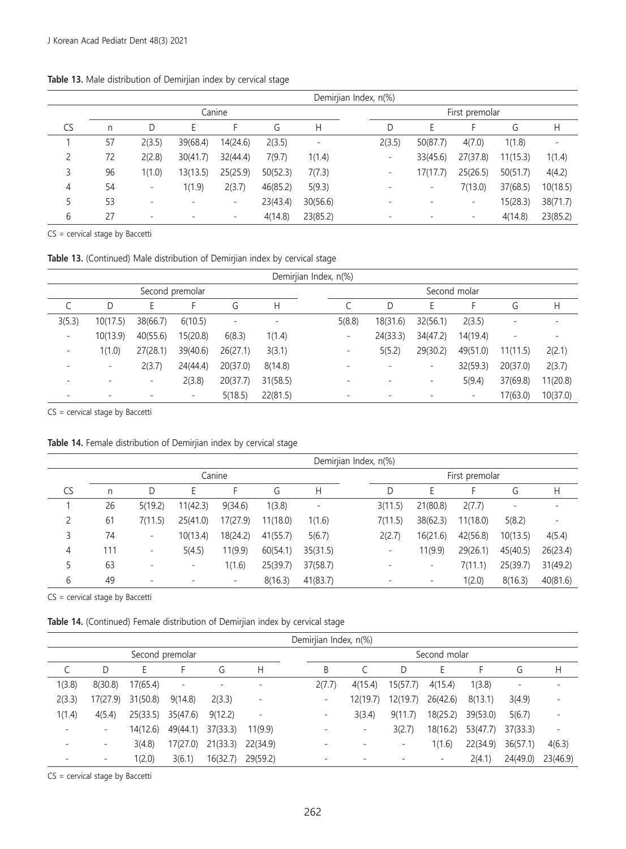#### **Table 13.** Male distribution of Demirjian index by cervical stage

|    | Demirjian Index, n(%) |                          |                          |                          |          |          |                                                                            |  |  |  |  |  |  |  |
|----|-----------------------|--------------------------|--------------------------|--------------------------|----------|----------|----------------------------------------------------------------------------|--|--|--|--|--|--|--|
|    |                       |                          |                          | Canine                   |          |          | First premolar                                                             |  |  |  |  |  |  |  |
| CS | n                     | D                        | Ŀ                        | ۳                        | G        | Н        | G<br>$\mathsf{H}$<br>D                                                     |  |  |  |  |  |  |  |
|    | 57                    | 2(3.5)                   | 39(68.4)                 | 14(24.6)                 | 2(3.5)   | -        | 2(3.5)<br>50(87.7)<br>4(7.0)<br>1(1.8)<br>$\qquad \qquad -$                |  |  |  |  |  |  |  |
|    | 72                    | 2(2.8)                   | 30(41.7)                 | 32(44.4)                 | 7(9.7)   | 1(1.4)   | 27(37.8)<br>33(45.6)<br>11(15.3)<br>1(1.4)<br>-                            |  |  |  |  |  |  |  |
| 3  | 96                    | 1(1.0)                   | 13(13.5)                 | 25(25.9)                 | 50(52.3) | 7(7.3)   | 17(17.7)<br>25(26.5)<br>50(51.7)<br>4(4.2)<br>$\qquad \qquad \blacksquare$ |  |  |  |  |  |  |  |
| 4  | 54                    | $\overline{\phantom{a}}$ | 1(1.9)                   | 2(3.7)                   | 46(85.2) | 5(9.3)   | 7(13.0)<br>37(68.5)<br>10(18.5)<br>۰                                       |  |  |  |  |  |  |  |
| 5  | 53                    | $\overline{\phantom{a}}$ | $\overline{\phantom{a}}$ | $\sim$                   | 23(43.4) | 30(56.6) | 15(28.3)<br>38(71.7)<br>-                                                  |  |  |  |  |  |  |  |
| b  | 27                    | $\overline{\phantom{a}}$ | $\overline{\phantom{0}}$ | $\overline{\phantom{a}}$ | 4(14.8)  | 23(85.2) | 4(14.8)<br>23(85.2)<br>۰<br>-                                              |  |  |  |  |  |  |  |

CS = cervical stage by Baccetti

**Table 13.** (Continued) Male distribution of Demirjian index by cervical stage

|                          | Demirjian Index, n(%) |          |                          |          |          |  |                          |                          |                          |              |          |          |  |  |
|--------------------------|-----------------------|----------|--------------------------|----------|----------|--|--------------------------|--------------------------|--------------------------|--------------|----------|----------|--|--|
|                          |                       |          | Second premolar          |          |          |  |                          |                          |                          | Second molar |          |          |  |  |
|                          | D                     | Ŀ.       | F                        | G        | Н        |  |                          | D                        | Ŀ                        |              | G        | H        |  |  |
| 3(5.3)                   | 10(17.5)              | 38(66.7) | 6(10.5)                  | -        | ٠        |  | 5(8.8)                   | 18(31.6)                 | 32(56.1)                 | 2(3.5)       | -        |          |  |  |
| $\overline{\phantom{a}}$ | 10(13.9)              | 40(55.6) | 15(20.8)                 | 6(8.3)   | 1(1.4)   |  | -                        | 24(33.3)                 | 34(47.2)                 | 14(19.4)     | -        |          |  |  |
|                          | 1(1.0)                | 27(28.1) | 39(40.6)                 | 26(27.1) | 3(3.1)   |  | -                        | 5(5.2)                   | 29(30.2)                 | 49(51.0)     | 11(11.5) | 2(2.1)   |  |  |
|                          |                       | 2(3.7)   | 24(44.4)                 | 20(37.0) | 8(14.8)  |  | $\overline{\phantom{a}}$ | $\overline{\phantom{a}}$ | $\overline{\phantom{0}}$ | 32(59.3)     | 20(37.0) | 2(3.7)   |  |  |
|                          |                       |          | 2(3.8)                   | 20(37.7) | 31(58.5) |  | -                        |                          | -                        | 5(9.4)       | 37(69.8) | 11(20.8) |  |  |
|                          |                       |          | $\overline{\phantom{a}}$ | 5(18.5)  | 22(81.5) |  | -                        |                          |                          | ٠            | 17(63.0) | 10(37.0) |  |  |

CS = cervical stage by Baccetti

**Table 14.** Female distribution of Demirjian index by cervical stage

|    | Demirjian Index, n(%) |                          |                          |                          |          |          |                          |                          |          |          |                   |  |  |  |
|----|-----------------------|--------------------------|--------------------------|--------------------------|----------|----------|--------------------------|--------------------------|----------|----------|-------------------|--|--|--|
|    |                       |                          |                          | Canine                   |          |          | First premolar           |                          |          |          |                   |  |  |  |
| CS | n                     |                          |                          | F                        | G        | Н        | D                        | F                        |          | G        | Н                 |  |  |  |
|    | 26                    | 5(19.2)                  | 11(42.3)                 | 9(34.6)                  | 1(3.8)   | -        | 3(11.5)                  | 21(80.8)                 | 2(7.7)   | -        |                   |  |  |  |
|    | 61                    | 7(11.5)                  | 25(41.0)                 | 17(27.9)                 | 11(18.0) | 1(1.6)   | 7(11.5)                  | 38(62.3)                 | 11(18.0) | 5(8.2)   | $\qquad \qquad -$ |  |  |  |
| 3  | 74                    | $\overline{\phantom{a}}$ | 10(13.4)                 | 18(24.2)                 | 41(55.7) | 5(6.7)   | 2(2.7)                   | 16(21.6)                 | 42(56.8) | 10(13.5) | 4(5.4)            |  |  |  |
| 4  | 111                   | $\overline{\phantom{a}}$ | 5(4.5)                   | 11(9.9)                  | 60(54.1) | 35(31.5) | $\overline{\phantom{a}}$ | 11(9.9)                  | 29(26.1) | 45(40.5) | 26(23.4)          |  |  |  |
| 5  | 63                    | $\overline{\phantom{a}}$ | $\overline{\phantom{a}}$ | 1(1.6)                   | 25(39.7) | 37(58.7) |                          | -                        | 7(11.1)  | 25(39.7) | 31(49.2)          |  |  |  |
| 6  | 49                    | $\overline{\phantom{a}}$ |                          | $\overline{\phantom{a}}$ | 8(16.3)  | 41(83.7) |                          | $\overline{\phantom{0}}$ | 1(2.0)   | 8(16.3)  | 40(81.6)          |  |  |  |

CS = cervical stage by Baccetti

**Table 14.** (Continued) Female distribution of Demirjian index by cervical stage

|        | Demirjian Index, n(%) |          |                   |          |          |  |                          |                          |          |                          |          |                          |                 |  |
|--------|-----------------------|----------|-------------------|----------|----------|--|--------------------------|--------------------------|----------|--------------------------|----------|--------------------------|-----------------|--|
|        |                       |          | Second premolar   |          |          |  | Second molar             |                          |          |                          |          |                          |                 |  |
|        | D                     | E        | ۳                 | G        | Η        |  | B                        |                          | D        | E                        |          | G                        | Н               |  |
| 1(3.8) | 8(30.8)               | 17(65.4) | $\qquad \qquad -$ | -        |          |  | 2(7.7)                   | 4(15.4)                  | 15(57.7) | 4(15.4)                  | 1(3.8)   | $\overline{\phantom{m}}$ |                 |  |
| 2(3.3) | 17(27.9)              | 31(50.8) | 9(14.8)           | 2(3.3)   | -        |  | ۰                        | 12(19.7)                 | 12(19.7) | 26(42.6)                 | 8(13.1)  | 3(4.9)                   | $\qquad \qquad$ |  |
| 1(1.4) | 4(5.4)                | 25(33.5) | 35(47.6)          | 9(12.2)  |          |  | $\overline{\phantom{a}}$ | 3(3.4)                   | 9(11.7)  | 18(25.2)                 | 39(53.0) | 5(6.7)                   |                 |  |
|        | -                     | 14(12.6) | 49(44.1)          | 37(33.3) | 11(9.9)  |  |                          | $\overline{\phantom{0}}$ | 3(2.7)   | 18(16.2)                 | 53(47.7) | 37(33.3)                 |                 |  |
|        | ۰                     | 3(4.8)   | 17(27.0)          | 21(33.3) | 22(34.9) |  |                          |                          |          | 1(1.6)                   | 22(34.9) | 36(57.1)                 | 4(6.3)          |  |
|        | ۰                     | 1(2.0)   | 3(6.1)            | 16(32.7) | 29(59.2) |  |                          |                          |          | $\overline{\phantom{a}}$ | 2(4.1)   | 24(49.0)                 | 23(46.9)        |  |

CS = cervical stage by Baccetti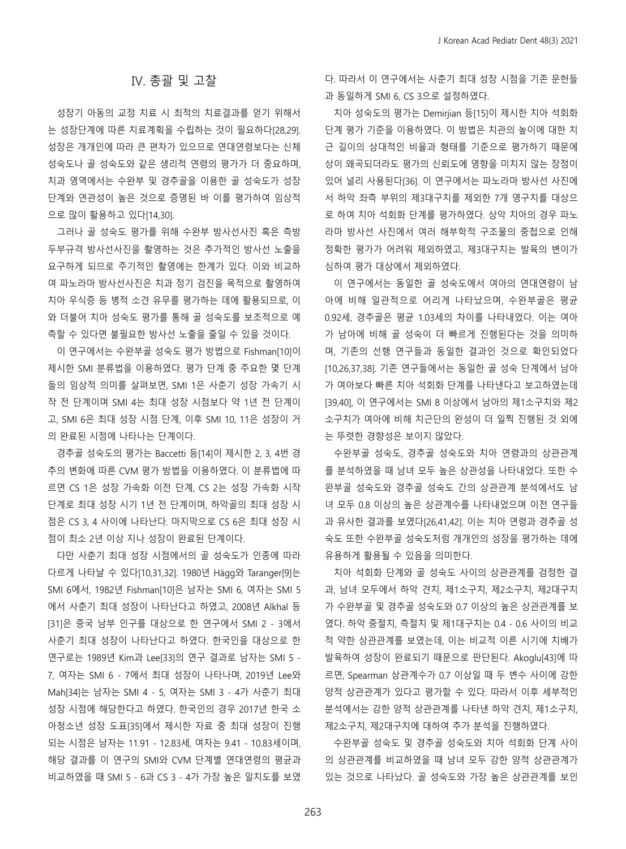## Ⅳ. 총괄 및 고찰

성장기 아동의 교정 치료 시 최적의 치료결과를 얻기 위해서 는 성장단계에 따른 치료계획을 수립하는 것이 필요하다[28,29]. 성장은 개개인에 따라 큰 편차가 있으므로 연대연령보다는 신체 성숙도나 골 성숙도와 같은 생리적 연령의 평가가 더 중요하며, 치과 영역에서는 수완부 및 경추골을 이용한 골 성숙도가 성장 단계와 연관성이 높은 것으로 증명된 바 이를 평가하여 임상적 으로 많이 활용하고 있다[14,30].

그러나 골 성숙도 평가를 위해 수완부 방사선사진 혹은 측방 두부규격 방사선사진을 촬영하는 것은 추가적인 방사선 노출을 요구하게 되므로 주기적인 촬영에는 한계가 있다. 이와 비교하 여 파노라마 방사선사진은 치과 정기 검진을 목적으로 촬영하여 치아 우식증 등 병적 소견 유무를 평가하는 데에 활용되므로, 이 와 더불어 치아 성숙도 평가를 통해 골 성숙도를 보조적으로 예 측할 수 있다면 불필요한 방사선 노출을 줄일 수 있을 것이다.

이 연구에서는 수완부골 성숙도 평가 방법으로 Fishman[10]이 제시한 SMI 분류법을 이용하였다. 평가 단계 중 주요한 몇 단계 들의 임상적 의미를 살펴보면, SMI 1은 사춘기 성장 가속기 시 작 전 단계이며 SMI 4는 최대 성장 시점보다 약 1년 전 단계이 고, SMI 6은 최대 성장 시점 단계, 이후 SMI 10, 11은 성장이 거 의 완료된 시점에 나타나는 단계이다.

경추골 성숙도의 평가는 Baccetti 등[14]이 제시한 2, 3, 4번 경 추의 변화에 따른 CVM 평가 방법을 이용하였다. 이 분류법에 따 르면 CS 1은 성장 가속화 이전 단계, CS 2는 성장 가속화 시작 단계로 최대 성장 시기 1년 전 단계이며, 하악골의 최대 성장 시 점은 CS 3, 4 사이에 나타난다. 마지막으로 CS 6은 최대 성장 시 점이 최소 2년 이상 지나 성장이 완료된 단계이다.

다만 사춘기 최대 성장 시점에서의 골 성숙도가 인종에 따라 다르게 나타날 수 있다[10,31,32]. 1980년 Hägg와 Taranger[9]는 SMI 6에서, 1982년 Fishman[10]은 남자는 SMI 6, 여자는 SMI 5 에서 사춘기 최대 성장이 나타난다고 하였고, 2008년 Alkhal 등 [31]은 중국 남부 인구를 대상으로 한 연구에서 SMI 2 - 3에서 사춘기 최대 성장이 나타난다고 하였다. 한국인을 대상으로 한 연구로는 1989년 Kim과 Lee[33]의 연구 결과로 남자는 SMI 5 - 7, 여자는 SMI 6 - 7에서 최대 성장이 나타나며, 2019년 Lee와 Mah[34]는 남자는 SMI 4 - 5, 여자는 SMI 3 - 4가 사춘기 최대 성장 시점에 해당한다고 하였다. 한국인의 경우 2017년 한국 소 아청소년 성장 도표[35]에서 제시한 자료 중 최대 성장이 진행 되는 시점은 남자는 11.91 - 12.83세, 여자는 9.41 - 10.83세이며, 해당 결과를 이 연구의 SMI와 CVM 단계별 연대연령의 평균과 비교하였을 때 SMI 5 - 6과 CS 3 - 4가 가장 높은 일치도를 보였 다. 따라서 이 연구에서는 사춘기 최대 성장 시점을 기존 문헌들 과 동일하게 SMI 6, CS 3으로 설정하였다.

치아 성숙도의 평가는 Demirjian 등[15]이 제시한 치아 석회화 단계 평가 기준을 이용하였다. 이 방법은 치관의 높이에 대한 치 근 길이의 상대적인 비율과 형태를 기준으로 평가하기 때문에 상이 왜곡되더라도 평가의 신뢰도에 영향을 미치지 않는 장점이 있어 널리 사용된다[36]. 이 연구에서는 파노라마 방사선 사진에 서 하악 좌측 부위의 제3대구치를 제외한 7개 영구치를 대상으 로 하여 치아 석회화 단계를 평가하였다. 상악 치아의 경우 파노 라마 방사선 사진에서 여러 해부학적 구조물의 중첩으로 인해 정확한 평가가 어려워 제외하였고, 제3대구치는 발육의 변이가 심하여 평가 대상에서 제외하였다.

이 연구에서는 동일한 골 성숙도에서 여아의 연대연령이 남 아에 비해 일관적으로 어리게 나타났으며, 수완부골은 평균 0.92세, 경추골은 평균 1.03세의 차이를 나타내었다. 이는 여아 가 남아에 비해 골 성숙이 더 빠르게 진행된다는 것을 의미하 며, 기존의 선행 연구들과 동일한 결과인 것으로 확인되었다 [10,26,37,38]. 기존 연구들에서는 동일한 골 성숙 단계에서 남아 가 여아보다 빠른 치아 석회화 단계를 나타낸다고 보고하였는데 [39,40], 이 연구에서는 SMI 8 이상에서 남아의 제1소구치와 제2 소구치가 여아에 비해 치근단의 완성이 더 일찍 진행된 것 외에 는 뚜렷한 경향성은 보이지 않았다.

수완부골 성숙도, 경추골 성숙도와 치아 연령과의 상관관계 를 분석하였을 때 남녀 모두 높은 상관성을 나타내었다. 또한 수 완부골 성숙도와 경추골 성숙도 간의 상관관계 분석에서도 남 녀 모두 0.8 이상의 높은 상관계수를 나타내었으며 이전 연구들 과 유사한 결과를 보였다[26,41,42]. 이는 치아 연령과 경추골 성 숙도 또한 수완부골 성숙도처럼 개개인의 성장을 평가하는 데에 유용하게 활용될 수 있음을 의미한다.

치아 석회화 단계와 골 성숙도 사이의 상관관계를 검정한 결 과, 남녀 모두에서 하악 견치, 제1소구치, 제2소구치, 제2대구치 가 수완부골 및 경추골 성숙도와 0.7 이상의 높은 상관관계를 보 였다. 하악 중절치, 측절치 및 제1대구치는 0.4 - 0.6 사이의 비교 적 약한 상관관계를 보였는데, 이는 비교적 이른 시기에 치배가 발육하여 성장이 완료되기 때문으로 판단된다. Akoglu[43]에 따 르면, Spearman 상관계수가 0.7 이상일 때 두 변수 사이에 강한 양적 상관관계가 있다고 평가할 수 있다. 따라서 이후 세부적인 분석에서는 강한 양적 상관관계를 나타낸 하악 견치, 제1소구치, 제2소구치, 제2대구치에 대하여 추가 분석을 진행하였다.

수완부골 성숙도 및 경추골 성숙도와 치아 석회화 단계 사이 의 상관관계를 비교하였을 때 남녀 모두 강한 양적 상관관계가 있는 것으로 나타났다. 골 성숙도와 가장 높은 상관관계를 보인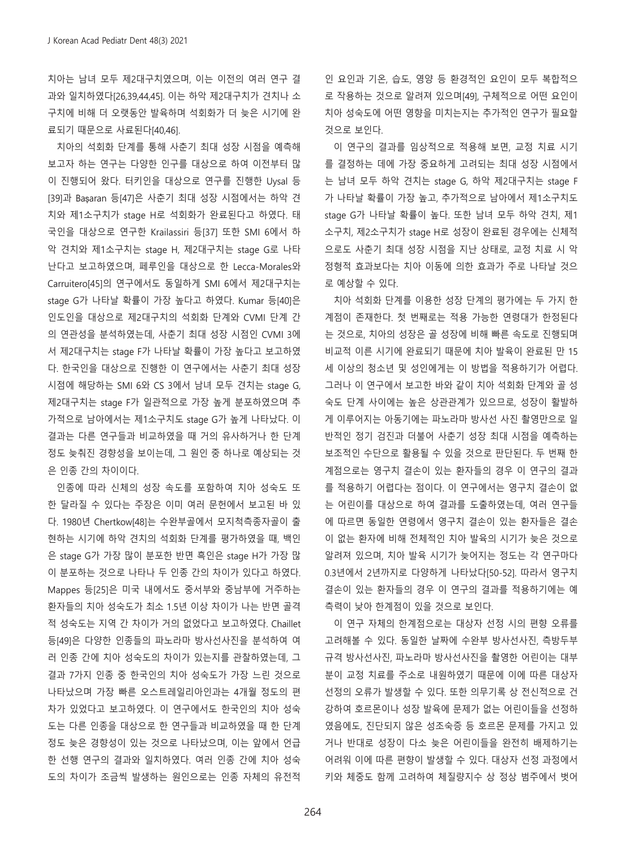치아는 남녀 모두 제2대구치였으며, 이는 이전의 여러 연구 결 과와 일치하였다[26,39,44,45]. 이는 하악 제2대구치가 견치나 소 구치에 비해 더 오랫동안 발육하며 석회화가 더 늦은 시기에 완 료되기 때문으로 사료된다[40,46].

치아의 석회화 단계를 통해 사춘기 최대 성장 시점을 예측해 보고자 하는 연구는 다양한 인구를 대상으로 하여 이전부터 많 이 진행되어 왔다. 터키인을 대상으로 연구를 진행한 Uysal 등 [39]과 Başaran 등[47]은 사춘기 최대 성장 시점에서는 하악 견 치와 제1소구치가 stage H로 석회화가 완료된다고 하였다. 태 국인을 대상으로 연구한 Krailassiri 등[37] 또한 SMI 6에서 하 악 견치와 제1소구치는 stage H, 제2대구치는 stage G로 나타 난다고 보고하였으며, 페루인을 대상으로 한 Lecca-Morales와 Carruitero[45]의 연구에서도 동일하게 SMI 6에서 제2대구치는 stage G가 나타날 확률이 가장 높다고 하였다. Kumar 등[40]은 인도인을 대상으로 제2대구치의 석회화 단계와 CVMI 단계 간 의 연관성을 분석하였는데, 사춘기 최대 성장 시점인 CVMI 3에 서 제2대구치는 stage F가 나타날 확률이 가장 높다고 보고하였 다. 한국인을 대상으로 진행한 이 연구에서는 사춘기 최대 성장 시점에 해당하는 SMI 6와 CS 3에서 남녀 모두 견치는 stage G, 제2대구치는 stage F가 일관적으로 가장 높게 분포하였으며 추 가적으로 남아에서는 제1소구치도 stage G가 높게 나타났다. 이 결과는 다른 연구들과 비교하였을 때 거의 유사하거나 한 단계 정도 늦춰진 경향성을 보이는데, 그 원인 중 하나로 예상되는 것 은 인종 간의 차이이다.

인종에 따라 신체의 성장 속도를 포함하여 치아 성숙도 또 한 달라질 수 있다는 주장은 이미 여러 문헌에서 보고된 바 있 다. 1980년 Chertkow[48]는 수완부골에서 모지척측종자골이 출 현하는 시기에 하악 견치의 석회화 단계를 평가하였을 때, 백인 은 stage G가 가장 많이 분포한 반면 흑인은 stage H가 가장 많 이 분포하는 것으로 나타나 두 인종 간의 차이가 있다고 하였다. Mappes 등[25]은 미국 내에서도 중서부와 중남부에 거주하는 환자들의 치아 성숙도가 최소 1.5년 이상 차이가 나는 반면 골격 적 성숙도는 지역 간 차이가 거의 없었다고 보고하였다. Chaillet 등[49]은 다양한 인종들의 파노라마 방사선사진을 분석하여 여 러 인종 간에 치아 성숙도의 차이가 있는지를 관찰하였는데, 그 결과 7가지 인종 중 한국인의 치아 성숙도가 가장 느린 것으로 나타났으며 가장 빠른 오스트레일리아인과는 4개월 정도의 편 차가 있었다고 보고하였다. 이 연구에서도 한국인의 치아 성숙 도는 다른 인종을 대상으로 한 연구들과 비교하였을 때 한 단계 정도 늦은 경향성이 있는 것으로 나타났으며, 이는 앞에서 언급 한 선행 연구의 결과와 일치하였다. 여러 인종 간에 치아 성숙 도의 차이가 조금씩 발생하는 원인으로는 인종 자체의 유전적

인 요인과 기온, 습도, 영양 등 환경적인 요인이 모두 복합적으 로 작용하는 것으로 알려져 있으며[49], 구체적으로 어떤 요인이 치아 성숙도에 어떤 영향을 미치는지는 추가적인 연구가 필요할 것으로 보인다.

이 연구의 결과를 임상적으로 적용해 보면, 교정 치료 시기 를 결정하는 데에 가장 중요하게 고려되는 최대 성장 시점에서 는 남녀 모두 하악 견치는 stage G, 하악 제2대구치는 stage F 가 나타날 확률이 가장 높고, 추가적으로 남아에서 제1소구치도 stage G가 나타날 확률이 높다. 또한 남녀 모두 하악 견치, 제1 소구치, 제2소구치가 stage H로 성장이 완료된 경우에는 신체적 으로도 사춘기 최대 성장 시점을 지난 상태로, 교정 치료 시 악 정형적 효과보다는 치아 이동에 의한 효과가 주로 나타날 것으 로 예상할 수 있다.

치아 석회화 단계를 이용한 성장 단계의 평가에는 두 가지 한 계점이 존재한다. 첫 번째로는 적용 가능한 연령대가 한정된다 는 것으로, 치아의 성장은 골 성장에 비해 빠른 속도로 진행되며 비교적 이른 시기에 완료되기 때문에 치아 발육이 완료된 만 15 세 이상의 청소년 및 성인에게는 이 방법을 적용하기가 어렵다. 그러나 이 연구에서 보고한 바와 같이 치아 석회화 단계와 골 성 숙도 단계 사이에는 높은 상관관계가 있으므로, 성장이 활발하 게 이루어지는 아동기에는 파노라마 방사선 사진 촬영만으로 일 반적인 정기 검진과 더불어 사춘기 성장 최대 시점을 예측하는 보조적인 수단으로 활용될 수 있을 것으로 판단된다. 두 번째 한 계점으로는 영구치 결손이 있는 환자들의 경우 이 연구의 결과 를 적용하기 어렵다는 점이다. 이 연구에서는 영구치 결손이 없 는 어린이를 대상으로 하여 결과를 도출하였는데, 여러 연구들 에 따르면 동일한 연령에서 영구치 결손이 있는 환자들은 결손 이 없는 환자에 비해 전체적인 치아 발육의 시기가 늦은 것으로 알려져 있으며, 치아 발육 시기가 늦어지는 정도는 각 연구마다 0.3년에서 2년까지로 다양하게 나타났다[50-52]. 따라서 영구치 결손이 있는 환자들의 경우 이 연구의 결과를 적용하기에는 예 측력이 낮아 한계점이 있을 것으로 보인다.

이 연구 자체의 한계점으로는 대상자 선정 시의 편향 오류를 고려해볼 수 있다. 동일한 날짜에 수완부 방사선사진, 측방두부 규격 방사선사진, 파노라마 방사선사진을 촬영한 어린이는 대부 분이 교정 치료를 주소로 내원하였기 때문에 이에 따른 대상자 선정의 오류가 발생할 수 있다. 또한 의무기록 상 전신적으로 건 강하여 호르몬이나 성장 발육에 문제가 없는 어린이들을 선정하 였음에도, 진단되지 않은 성조숙증 등 호르몬 문제를 가지고 있 거나 반대로 성장이 다소 늦은 어린이들을 완전히 배제하기는 어려워 이에 따른 편향이 발생할 수 있다. 대상자 선정 과정에서 키와 체중도 함께 고려하여 체질량지수 상 정상 범주에서 벗어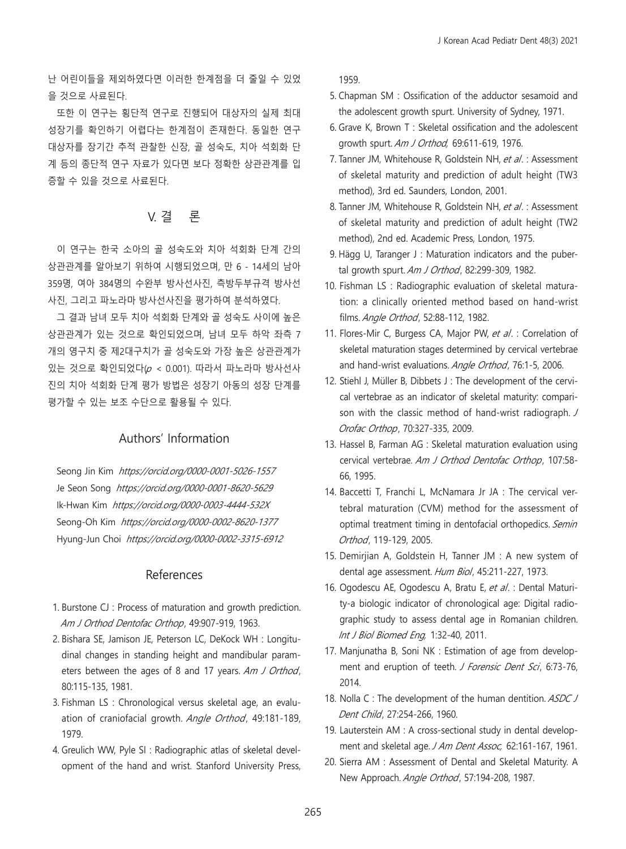난 어린이들을 제외하였다면 이러한 한계점을 더 줄일 수 있었 을 것으로 사료된다.

또한 이 연구는 횡단적 연구로 진행되어 대상자의 실제 최대 성장기를 확인하기 어렵다는 한계점이 존재한다. 동일한 연구 대상자를 장기간 추적 관찰한 신장, 골 성숙도, 치아 석회화 단 계 등의 종단적 연구 자료가 있다면 보다 정확한 상관관계를 입 증할 수 있을 것으로 사료된다.

# V. 결 론

이 연구는 한국 소아의 골 성숙도와 치아 석회화 단계 간의 상관관계를 알아보기 위하여 시행되었으며, 만 6 - 14세의 남아 359명, 여아 384명의 수완부 방사선사진, 측방두부규격 방사선 사진, 그리고 파노라마 방사선사진을 평가하여 분석하였다.

그 결과 남녀 모두 치아 석회화 단계와 골 성숙도 사이에 높은 상관관계가 있는 것으로 확인되었으며, 남녀 모두 하악 좌측 7 개의 영구치 중 제2대구치가 골 성숙도와 가장 높은 상관관계가 있는 것으로 확인되었다(p < 0.001). 따라서 파노라마 방사선사 진의 치아 석회화 단계 평가 방법은 성장기 아동의 성장 단계를 평가할 수 있는 보조 수단으로 활용될 수 있다.

## Authors' Information

Seong Jin Kim https://orcid.org/0000-0001-5026-1557 Je Seon Song https://orcid.org/0000-0001-8620-5629 Ik-Hwan Kim https://orcid.org/0000-0003-4444-532X Seong-Oh Kim https://orcid.org/0000-0002-8620-1377 Hyung-Jun Choi https://orcid.org/0000-0002-3315-6912

### References

- 1. Burstone CJ : Process of maturation and growth prediction. Am J Orthod Dentofac Orthop, 49:907-919, 1963.
- 2. Bishara SE, Jamison JE, Peterson LC, DeKock WH : Longitudinal changes in standing height and mandibular parameters between the ages of 8 and 17 years. Am J Orthod, 80:115-135, 1981.
- 3. Fishman LS : Chronological versus skeletal age, an evaluation of craniofacial growth. Angle Orthod, 49:181-189, 1979.
- 4. Greulich WW, Pyle SI : Radiographic atlas of skeletal development of the hand and wrist. Stanford University Press,

1959.

- 5. Chapman SM : Ossification of the adductor sesamoid and the adolescent growth spurt. University of Sydney, 1971.
- 6. Grave K, Brown T : Skeletal ossification and the adolescent growth spurt. Am J Orthod, 69:611-619, 1976.
- 7. Tanner JM, Whitehouse R, Goldstein NH, et al. : Assessment of skeletal maturity and prediction of adult height (TW3 method), 3rd ed. Saunders, London, 2001.
- 8. Tanner JM, Whitehouse R, Goldstein NH, et al. : Assessment of skeletal maturity and prediction of adult height (TW2 method), 2nd ed. Academic Press, London, 1975.
- 9. Hägg U, Taranger J: Maturation indicators and the pubertal growth spurt. Am J Orthod, 82:299-309, 1982.
- 10. Fishman LS : Radiographic evaluation of skeletal maturation: a clinically oriented method based on hand-wrist films. Angle Orthod, 52:88-112, 1982.
- 11. Flores-Mir C, Burgess CA, Major PW, et al. : Correlation of skeletal maturation stages determined by cervical vertebrae and hand-wrist evaluations. Angle Orthod, 76:1-5, 2006.
- 12. Stiehl J, Müller B, Dibbets J : The development of the cervical vertebrae as an indicator of skeletal maturity: comparison with the classic method of hand-wrist radiograph. J Orofac Orthop, 70:327-335, 2009.
- 13. Hassel B, Farman AG : Skeletal maturation evaluation using cervical vertebrae. Am J Orthod Dentofac Orthop, 107:58-66, 1995.
- 14. Baccetti T, Franchi L, McNamara Jr JA : The cervical vertebral maturation (CVM) method for the assessment of optimal treatment timing in dentofacial orthopedics. Semin Orthod, 119-129, 2005.
- 15. Demirjian A, Goldstein H, Tanner JM : A new system of dental age assessment. Hum Biol, 45:211-227, 1973.
- 16. Ogodescu AE, Ogodescu A, Bratu E, et al. : Dental Maturity-a biologic indicator of chronological age: Digital radiographic study to assess dental age in Romanian children. Int J Biol Biomed Eng, 1:32-40, 2011.
- 17. Manjunatha B, Soni NK : Estimation of age from development and eruption of teeth. J Forensic Dent Sci, 6:73-76, 2014.
- 18. Nolla C : The development of the human dentition. ASDC J Dent Child, 27:254-266, 1960.
- 19. Lauterstein AM : A cross-sectional study in dental development and skeletal age. J Am Dent Assoc, 62:161-167, 1961.
- 20. Sierra AM : Assessment of Dental and Skeletal Maturity. A New Approach. Angle Orthod, 57:194-208, 1987.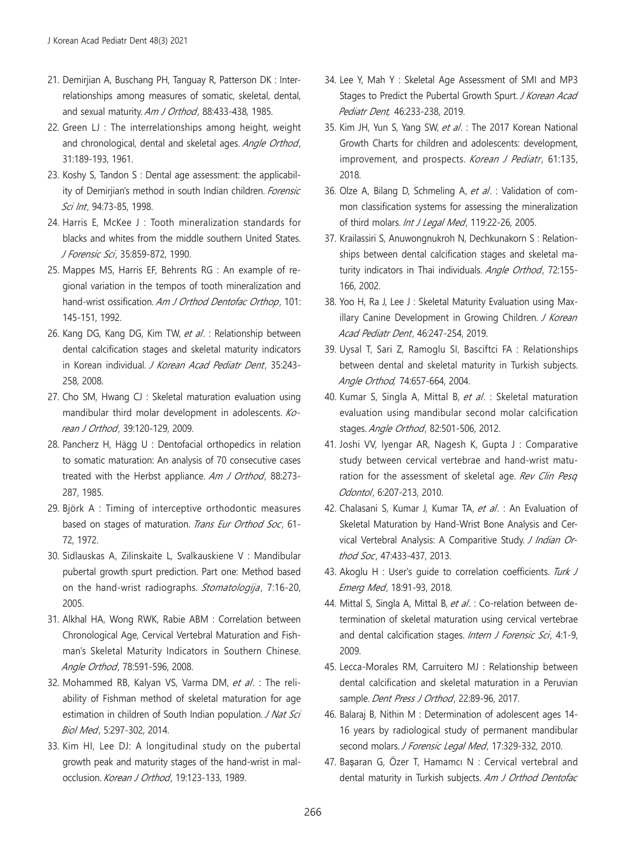- 21. Demirjian A, Buschang PH, Tanguay R, Patterson DK : Interrelationships among measures of somatic, skeletal, dental, and sexual maturity. Am J Orthod, 88:433-438, 1985.
- 22. Green LJ : The interrelationships among height, weight and chronological, dental and skeletal ages. Angle Orthod, 31:189-193, 1961.
- 23. Koshy S, Tandon S : Dental age assessment: the applicability of Demirjian's method in south Indian children. Forensic Sci Int, 94:73-85, 1998.
- 24. Harris E, McKee J : Tooth mineralization standards for blacks and whites from the middle southern United States. J Forensic Sci , 35:859-872, 1990.
- 25. Mappes MS, Harris EF, Behrents RG : An example of regional variation in the tempos of tooth mineralization and hand-wrist ossification. Am J Orthod Dentofac Orthop, 101: 145-151, 1992.
- 26. Kang DG, Kang DG, Kim TW, et al. : Relationship between dental calcification stages and skeletal maturity indicators in Korean individual. J Korean Acad Pediatr Dent, 35:243-258, 2008.
- 27. Cho SM, Hwang CJ : Skeletal maturation evaluation using mandibular third molar development in adolescents. Korean J Orthod, 39:120-129, 2009.
- 28. Pancherz H, Hägg U : Dentofacial orthopedics in relation to somatic maturation: An analysis of 70 consecutive cases treated with the Herbst appliance. Am J Orthod, 88:273-287, 1985.
- 29. Björk A : Timing of interceptive orthodontic measures based on stages of maturation. Trans Eur Orthod Soc, 61-72, 1972.
- 30. Sidlauskas A, Zilinskaite L, Svalkauskiene V : Mandibular pubertal growth spurt prediction. Part one: Method based on the hand-wrist radiographs. Stomatologija, 7:16-20, 2005.
- 31. Alkhal HA, Wong RWK, Rabie ABM : Correlation between Chronological Age, Cervical Vertebral Maturation and Fishman's Skeletal Maturity Indicators in Southern Chinese. Angle Orthod, 78:591-596, 2008.
- 32. Mohammed RB, Kalyan VS, Varma DM, et al. : The reliability of Fishman method of skeletal maturation for age estimation in children of South Indian population. J Nat Sci Biol Med, 5:297-302, 2014.
- 33. Kim HI, Lee DJ: A longitudinal study on the pubertal growth peak and maturity stages of the hand-wrist in malocclusion. Korean J Orthod, 19:123-133, 1989.
- 34. Lee Y, Mah Y : Skeletal Age Assessment of SMI and MP3 Stages to Predict the Pubertal Growth Spurt. J Korean Acad Pediatr Dent, 46:233-238, 2019.
- 35. Kim JH, Yun S, Yang SW, et al. : The 2017 Korean National Growth Charts for children and adolescents: development, improvement, and prospects. Korean J Pediatr, 61:135, 2018.
- 36. Olze A, Bilang D, Schmeling A, et al. : Validation of common classification systems for assessing the mineralization of third molars. Int J Legal Med, 119:22-26, 2005.
- 37. Krailassiri S, Anuwongnukroh N, Dechkunakorn S : Relationships between dental calcification stages and skeletal maturity indicators in Thai individuals. Angle Orthod, 72:155-166, 2002.
- 38. Yoo H, Ra J, Lee J : Skeletal Maturity Evaluation using Maxillary Canine Development in Growing Children. J Korean Acad Pediatr Dent, 46:247-254, 2019.
- 39. Uysal T, Sari Z, Ramoglu SI, Basciftci FA : Relationships between dental and skeletal maturity in Turkish subjects. Angle Orthod, 74:657-664, 2004.
- 40. Kumar S, Singla A, Mittal B, et al. : Skeletal maturation evaluation using mandibular second molar calcification stages. Angle Orthod, 82:501-506, 2012.
- 41. Joshi VV, Iyengar AR, Nagesh K, Gupta J : Comparative study between cervical vertebrae and hand-wrist maturation for the assessment of skeletal age. Rev Clin Pesq Odontol, 6:207-213, 2010.
- 42. Chalasani S, Kumar J, Kumar TA, et al. : An Evaluation of Skeletal Maturation by Hand-Wrist Bone Analysis and Cervical Vertebral Analysis: A Comparitive Study. J Indian Orthod Soc, 47:433-437, 2013.
- 43. Akoglu H : User's quide to correlation coefficients. Turk J Emerg Med, 18:91-93, 2018.
- 44. Mittal S, Singla A, Mittal B, et al. : Co-relation between determination of skeletal maturation using cervical vertebrae and dental calcification stages. Intern J Forensic Sci, 4:1-9, 2009.
- 45. Lecca-Morales RM, Carruitero MJ : Relationship between dental calcification and skeletal maturation in a Peruvian sample. *Dent Press J Orthod*, 22:89-96, 2017.
- 46. Balaraj B, Nithin M : Determination of adolescent ages 14- 16 years by radiological study of permanent mandibular second molars. J Forensic Legal Med, 17:329-332, 2010.
- 47. Başaran G, Özer T, Hamamcı N : Cervical vertebral and dental maturity in Turkish subjects. Am J Orthod Dentofac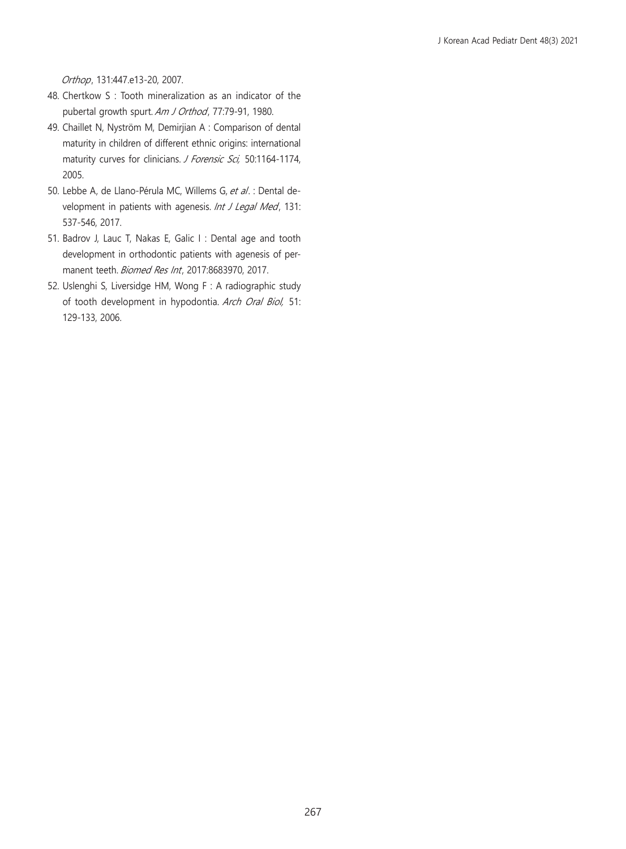Orthop, 131:447.e13-20, 2007.

- 48. Chertkow S : Tooth mineralization as an indicator of the pubertal growth spurt. Am J Orthod, 77:79-91, 1980.
- 49. Chaillet N, Nyström M, Demirjian A : Comparison of dental maturity in children of different ethnic origins: international maturity curves for clinicians. J Forensic Sci, 50:1164-1174, 2005.
- 50. Lebbe A, de Llano-Pérula MC, Willems G, et al. : Dental development in patients with agenesis. Int J Legal Med, 131: 537-546, 2017.
- 51. Badrov J, Lauc T, Nakas E, Galic I : Dental age and tooth development in orthodontic patients with agenesis of permanent teeth. Biomed Res Int, 2017:8683970, 2017.
- 52. Uslenghi S, Liversidge HM, Wong F : A radiographic study of tooth development in hypodontia. Arch Oral Biol, 51: 129-133, 2006.